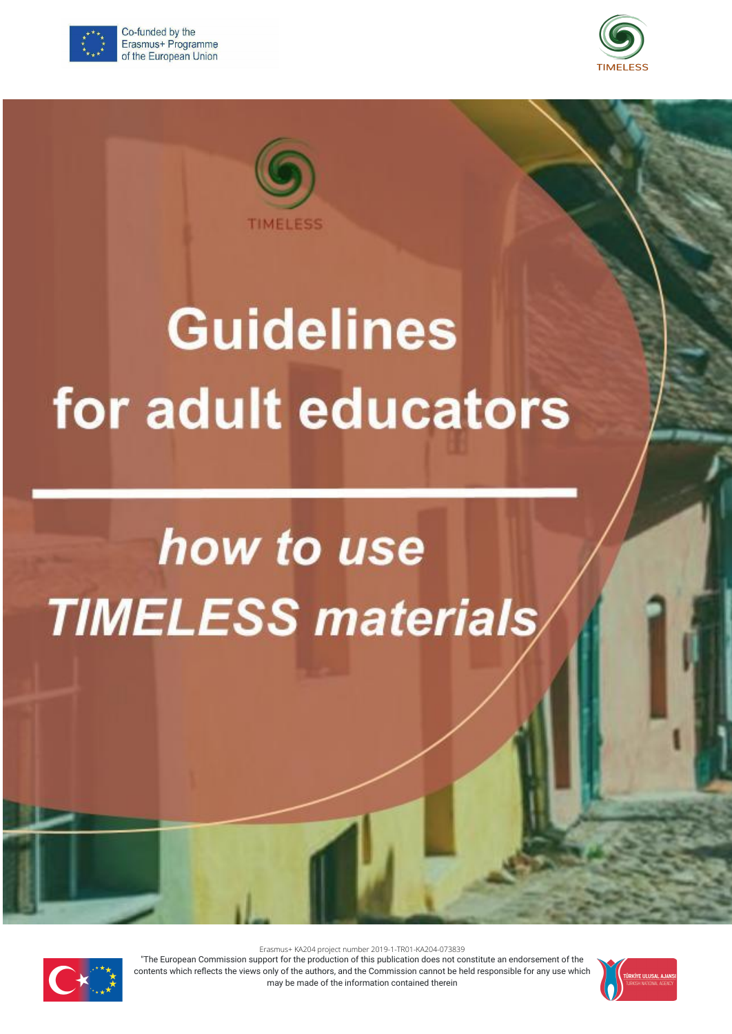

Co-funded by the Erasmus+ Programme of the European Union





# **Guidelines** for adult educators

## how to use **TIMELESS materials**



Erasmus+ KA204 project number 2019-1-TR01-KA204-073839

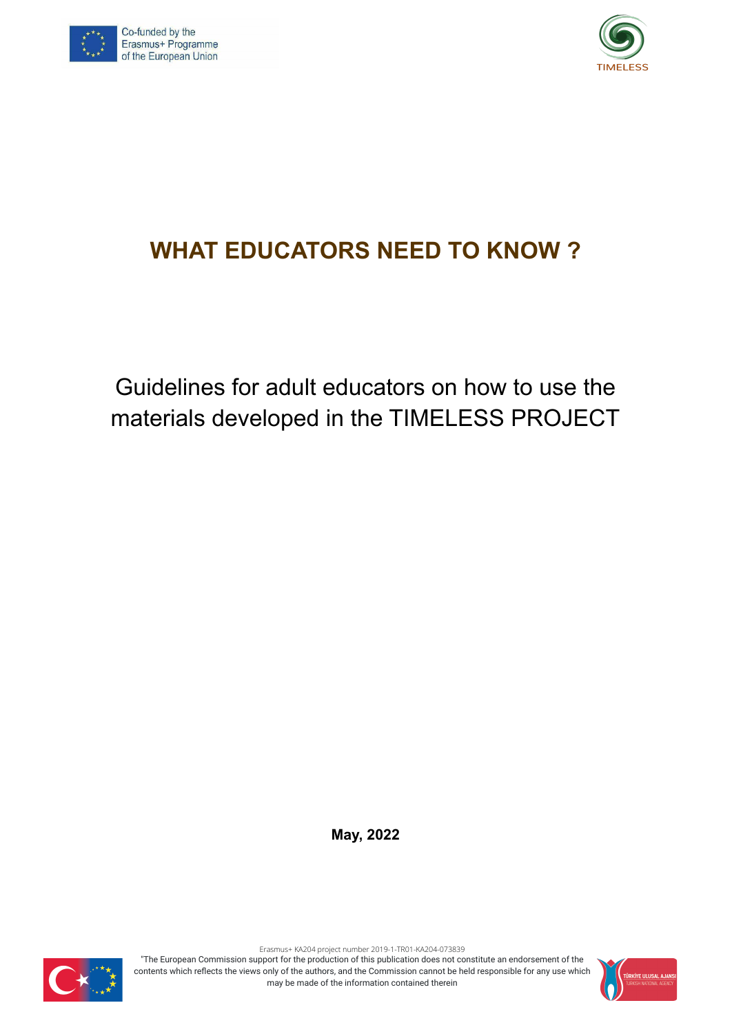



## **WHAT EDUCATORS NEED TO KNOW ?**

Guidelines for adult educators on how to use the materials developed in the TIMELESS PROJECT

**May, 2022**



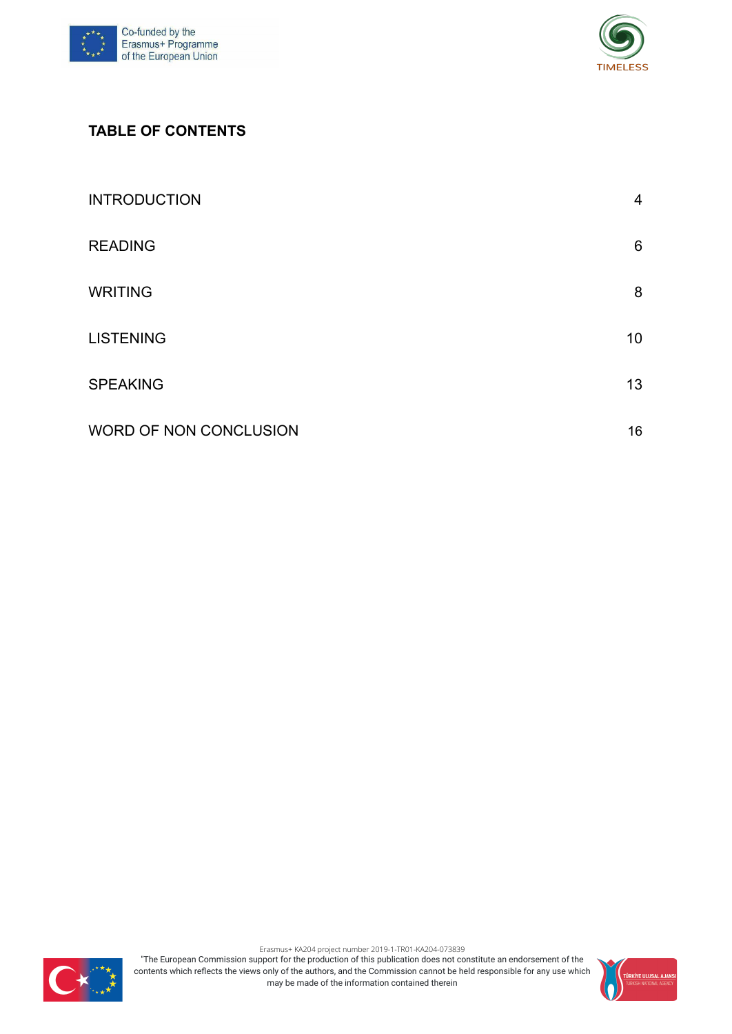



#### **TABLE OF CONTENTS**

| <b>INTRODUCTION</b>    | 4  |
|------------------------|----|
| <b>READING</b>         | 6  |
| <b>WRITING</b>         | 8  |
| <b>LISTENING</b>       | 10 |
| <b>SPEAKING</b>        | 13 |
| WORD OF NON CONCLUSION | 16 |



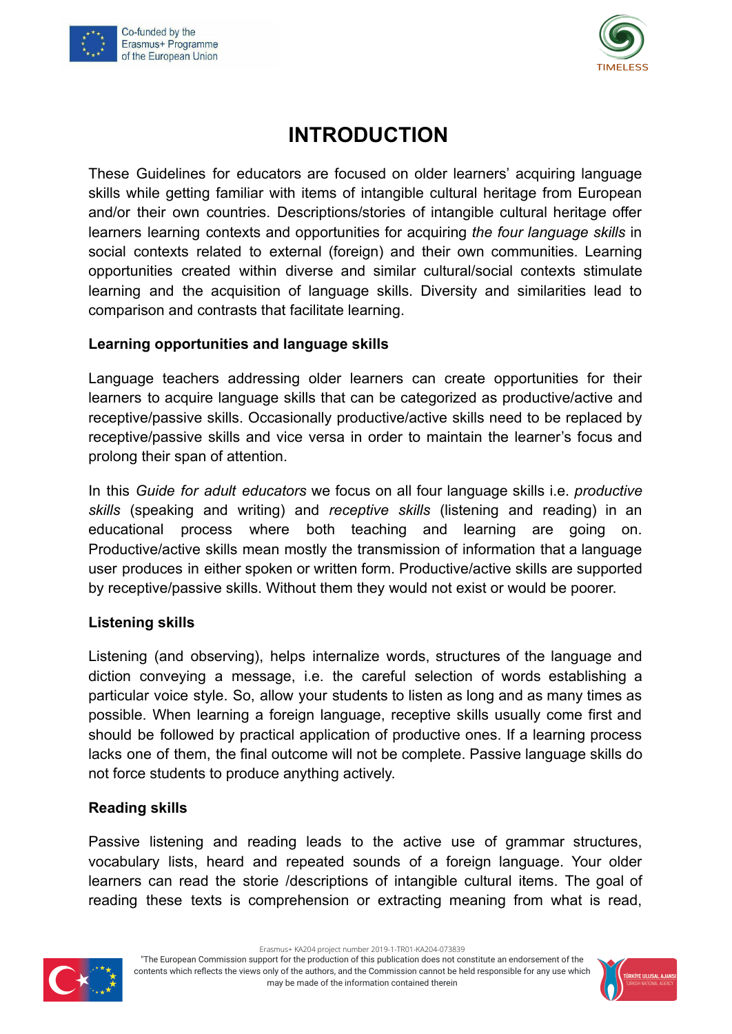



## **INTRODUCTION**

These Guidelines for educators are focused on older learners' acquiring language skills while getting familiar with items of intangible cultural heritage from European and/or their own countries. Descriptions/stories of intangible cultural heritage offer learners learning contexts and opportunities for acquiring *the four language skills* in social contexts related to external (foreign) and their own communities. Learning opportunities created within diverse and similar cultural/social contexts stimulate learning and the acquisition of language skills. Diversity and similarities lead to comparison and contrasts that facilitate learning.

#### **Learning opportunities and language skills**

Language teachers addressing older learners can create opportunities for their learners to acquire language skills that can be categorized as productive/active and receptive/passive skills. Occasionally productive/active skills need to be replaced by receptive/passive skills and vice versa in order to maintain the learner's focus and prolong their span of attention.

In this *Guide for adult educators* we focus on all four language skills i.e. *productive skills* (speaking and writing) and *receptive skills* (listening and reading) in an educational process where both teaching and learning are going on. Productive/active skills mean mostly the transmission of information that a language user produces in either spoken or written form. Productive/active skills are supported by receptive/passive skills. Without them they would not exist or would be poorer.

#### **Listening skills**

Listening (and observing), helps internalize words, structures of the language and diction conveying a message, i.e. the careful selection of words establishing a particular voice style. So, allow your students to listen as long and as many times as possible. When learning a foreign language, receptive skills usually come first and should be followed by practical application of productive ones. If a learning process lacks one of them, the final outcome will not be complete. Passive language skills do not force students to produce anything actively.

#### **Reading skills**

Passive listening and reading leads to the active use of grammar structures, vocabulary lists, heard and repeated sounds of a foreign language. Your older learners can read the storie /descriptions of intangible cultural items. The goal of reading these texts is comprehension or extracting meaning from what is read,



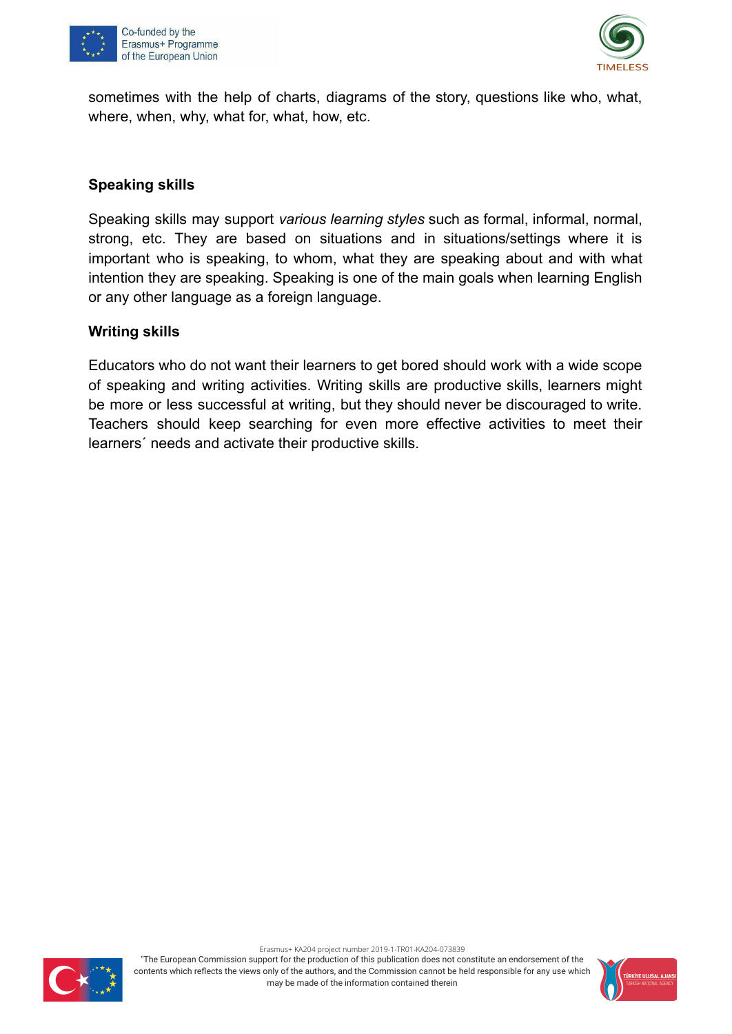



sometimes with the help of charts, diagrams of the story, questions like who, what, where, when, why, what for, what, how, etc.

#### **Speaking skills**

Speaking skills may support *various learning styles* such as formal, informal, normal, strong, etc. They are based on situations and in situations/settings where it is important who is speaking, to whom, what they are speaking about and with what intention they are speaking. Speaking is one of the main goals when learning English or any other language as a foreign language.

#### **Writing skills**

Educators who do not want their learners to get bored should work with a wide scope of speaking and writing activities. Writing skills are productive skills, learners might be more or less successful at writing, but they should never be discouraged to write. Teachers should keep searching for even more effective activities to meet their learners´ needs and activate their productive skills.



Erasmus+ KA204 project number 2019-1-TR01-KA204-073839

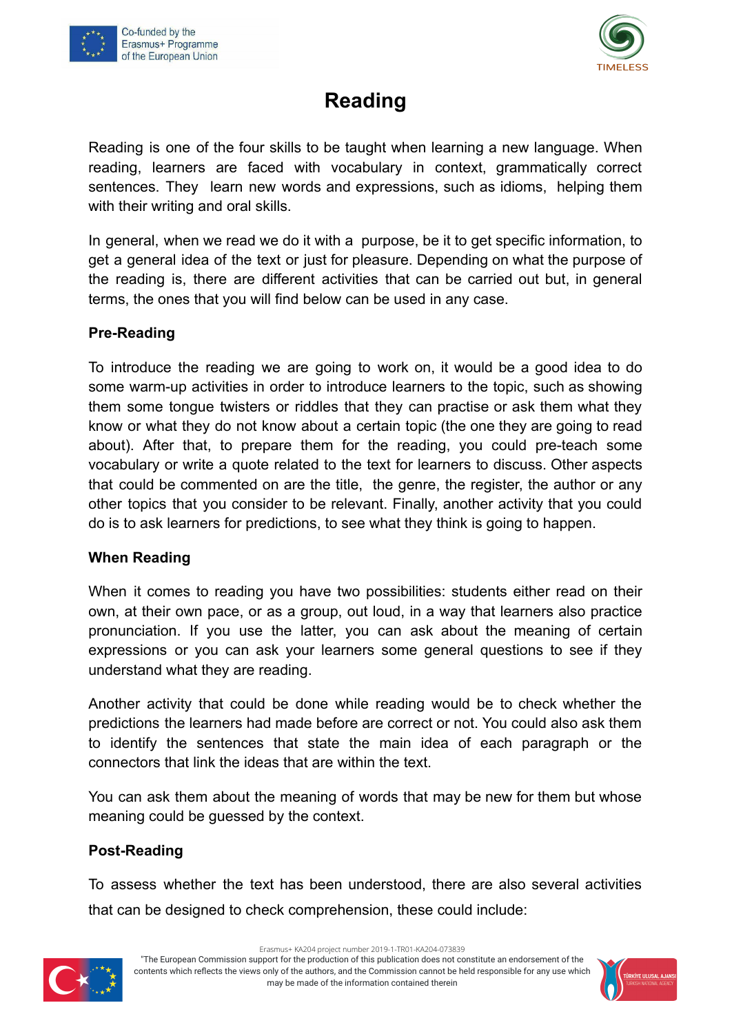



## **Reading**

<span id="page-5-0"></span>Reading is one of the four skills to be taught when learning a new language. When reading, learners are faced with vocabulary in context, grammatically correct sentences. They learn new words and expressions, such as idioms, helping them with their writing and oral skills.

In general, when we read we do it with a purpose, be it to get specific information, to get a general idea of the text or just for pleasure. Depending on what the purpose of the reading is, there are different activities that can be carried out but, in general terms, the ones that you will find below can be used in any case.

#### **Pre-Reading**

To introduce the reading we are going to work on, it would be a good idea to do some warm-up activities in order to introduce learners to the topic, such as showing them some tongue twisters or riddles that they can practise or ask them what they know or what they do not know about a certain topic (the one they are going to read about). After that, to prepare them for the reading, you could pre-teach some vocabulary or write a quote related to the text for learners to discuss. Other aspects that could be commented on are the title, the genre, the register, the author or any other topics that you consider to be relevant. Finally, another activity that you could do is to ask learners for predictions, to see what they think is going to happen.

#### **When Reading**

When it comes to reading you have two possibilities: students either read on their own, at their own pace, or as a group, out loud, in a way that learners also practice pronunciation. If you use the latter, you can ask about the meaning of certain expressions or you can ask your learners some general questions to see if they understand what they are reading.

Another activity that could be done while reading would be to check whether the predictions the learners had made before are correct or not. You could also ask them to identify the sentences that state the main idea of each paragraph or the connectors that link the ideas that are within the text.

You can ask them about the meaning of words that may be new for them but whose meaning could be guessed by the context.

#### **Post-Reading**

To assess whether the text has been understood, there are also several activities that can be designed to check comprehension, these could include:



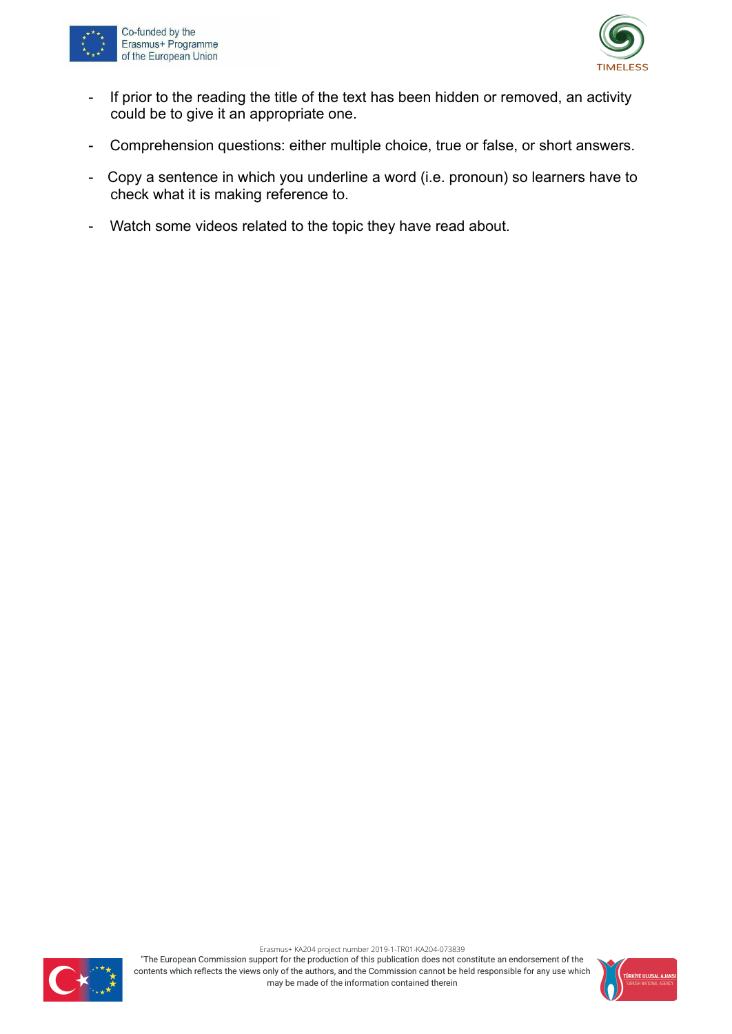



- If prior to the reading the title of the text has been hidden or removed, an activity could be to give it an appropriate one.
- Comprehension questions: either multiple choice, true or false, or short answers.
- Copy a sentence in which you underline a word (i.e. pronoun) so learners have to check what it is making reference to.
- Watch some videos related to the topic they have read about.



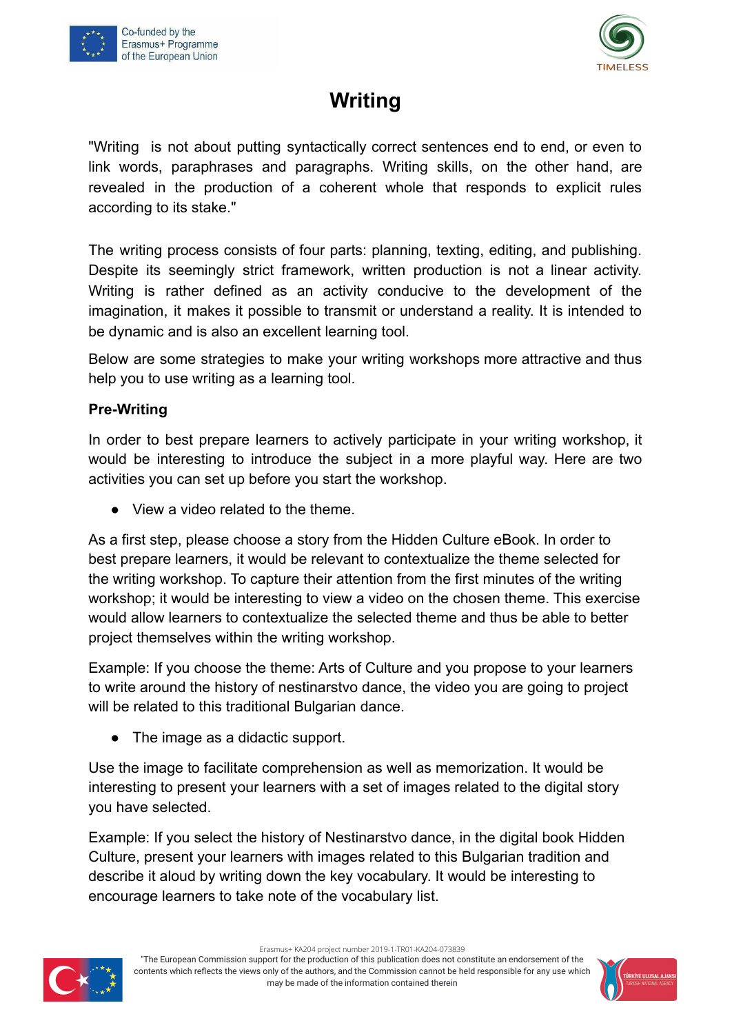



## **Writing**

<span id="page-7-0"></span>"Writing is not about putting syntactically correct sentences end to end, or even to link words, paraphrases and paragraphs. Writing skills, on the other hand, are revealed in the production of a coherent whole that responds to explicit rules according to its stake."

The writing process consists of four parts: planning, texting, editing, and publishing. Despite its seemingly strict framework, written production is not a linear activity. Writing is rather defined as an activity conducive to the development of the imagination, it makes it possible to transmit or understand a reality. It is intended to be dynamic and is also an excellent learning tool.

Below are some strategies to make your writing workshops more attractive and thus help you to use writing as a learning tool.

#### **Pre-Writing**

In order to best prepare learners to actively participate in your writing workshop, it would be interesting to introduce the subject in a more playful way. Here are two activities you can set up before you start the workshop.

● View a video related to the theme.

As a first step, please choose a story from the Hidden Culture eBook. In order to best prepare learners, it would be relevant to contextualize the theme selected for the writing workshop. To capture their attention from the first minutes of the writing workshop; it would be interesting to view a video on the chosen theme. This exercise would allow learners to contextualize the selected theme and thus be able to better project themselves within the writing workshop.

Example: If you choose the theme: Arts of Culture and you propose to your learners to write around the history of nestinarstvo dance, the video you are going to project will be related to this traditional Bulgarian dance.

• The image as a didactic support.

Use the image to facilitate comprehension as well as memorization. It would be interesting to present your learners with a set of images related to the digital story you have selected.

Example: If you select the history of Nestinarstvo dance, in the digital book Hidden Culture, present your learners with images related to this Bulgarian tradition and describe it aloud by writing down the key vocabulary. It would be interesting to encourage learners to take note of the vocabulary list.



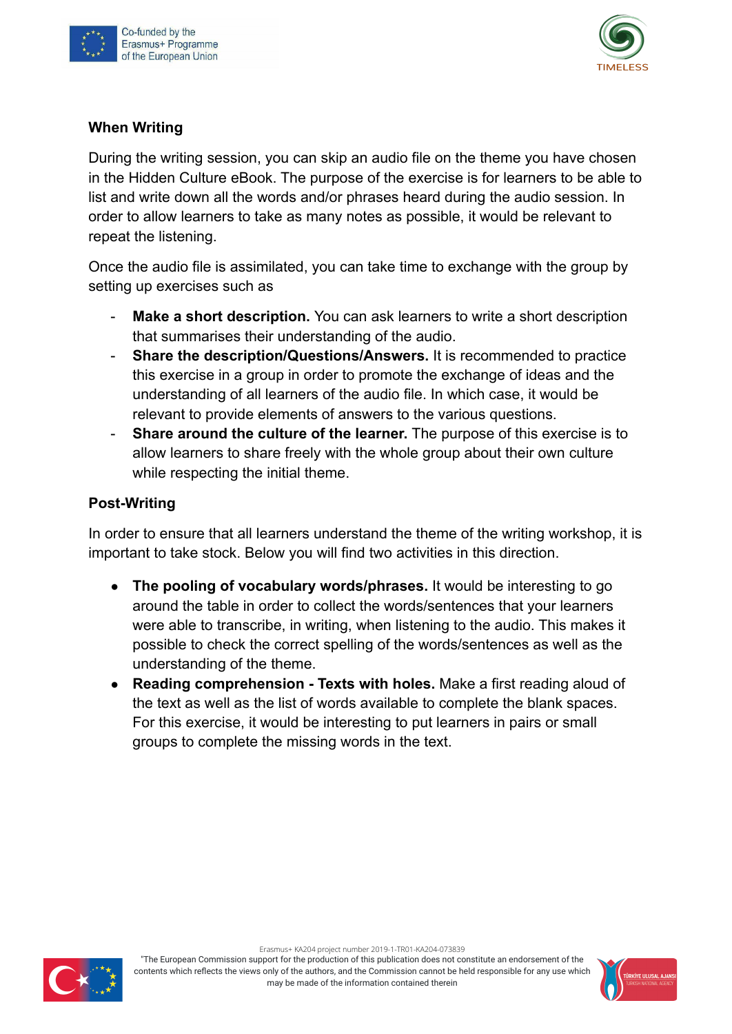



#### **When Writing**

During the writing session, you can skip an audio file on the theme you have chosen in the Hidden Culture eBook. The purpose of the exercise is for learners to be able to list and write down all the words and/or phrases heard during the audio session. In order to allow learners to take as many notes as possible, it would be relevant to repeat the listening.

Once the audio file is assimilated, you can take time to exchange with the group by setting up exercises such as

- **Make a short description.** You can ask learners to write a short description that summarises their understanding of the audio.
- **Share the description/Questions/Answers.** It is recommended to practice this exercise in a group in order to promote the exchange of ideas and the understanding of all learners of the audio file. In which case, it would be relevant to provide elements of answers to the various questions.
- **Share around the culture of the learner.** The purpose of this exercise is to allow learners to share freely with the whole group about their own culture while respecting the initial theme.

#### **Post-Writing**

In order to ensure that all learners understand the theme of the writing workshop, it is important to take stock. Below you will find two activities in this direction.

- **The pooling of vocabulary words/phrases.** It would be interesting to go around the table in order to collect the words/sentences that your learners were able to transcribe, in writing, when listening to the audio. This makes it possible to check the correct spelling of the words/sentences as well as the understanding of the theme.
- **● Reading comprehension Texts with holes.** Make a first reading aloud of the text as well as the list of words available to complete the blank spaces. For this exercise, it would be interesting to put learners in pairs or small groups to complete the missing words in the text.



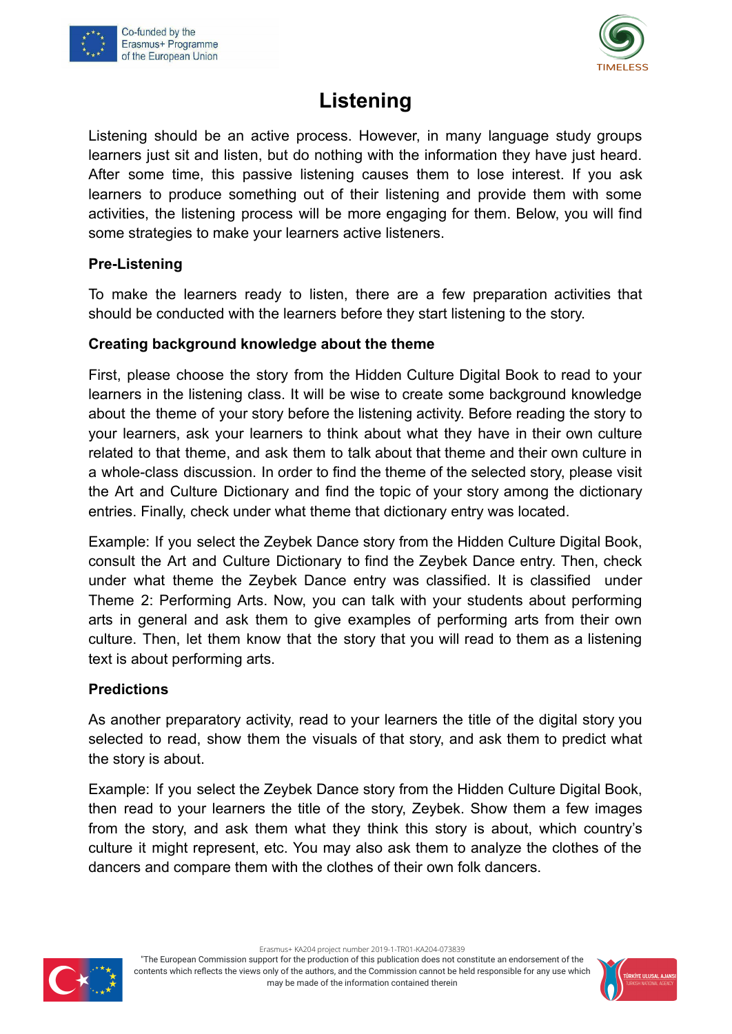



## **Listening**

<span id="page-9-0"></span>Listening should be an active process. However, in many language study groups learners just sit and listen, but do nothing with the information they have just heard. After some time, this passive listening causes them to lose interest. If you ask learners to produce something out of their listening and provide them with some activities, the listening process will be more engaging for them. Below, you will find some strategies to make your learners active listeners.

#### **Pre-Listening**

To make the learners ready to listen, there are a few preparation activities that should be conducted with the learners before they start listening to the story.

#### **Creating background knowledge about the theme**

First, please choose the story from the Hidden Culture Digital Book to read to your learners in the listening class. It will be wise to create some background knowledge about the theme of your story before the listening activity. Before reading the story to your learners, ask your learners to think about what they have in their own culture related to that theme, and ask them to talk about that theme and their own culture in a whole-class discussion. In order to find the theme of the selected story, please visit the Art and Culture Dictionary and find the topic of your story among the dictionary entries. Finally, check under what theme that dictionary entry was located.

Example: If you select the Zeybek Dance story from the Hidden Culture Digital Book, consult the Art and Culture Dictionary to find the Zeybek Dance entry. Then, check under what theme the Zeybek Dance entry was classified. It is classified under Theme 2: Performing Arts. Now, you can talk with your students about performing arts in general and ask them to give examples of performing arts from their own culture. Then, let them know that the story that you will read to them as a listening text is about performing arts.

#### **Predictions**

As another preparatory activity, read to your learners the title of the digital story you selected to read, show them the visuals of that story, and ask them to predict what the story is about.

Example: If you select the Zeybek Dance story from the Hidden Culture Digital Book, then read to your learners the title of the story, Zeybek. Show them a few images from the story, and ask them what they think this story is about, which country's culture it might represent, etc. You may also ask them to analyze the clothes of the dancers and compare them with the clothes of their own folk dancers.



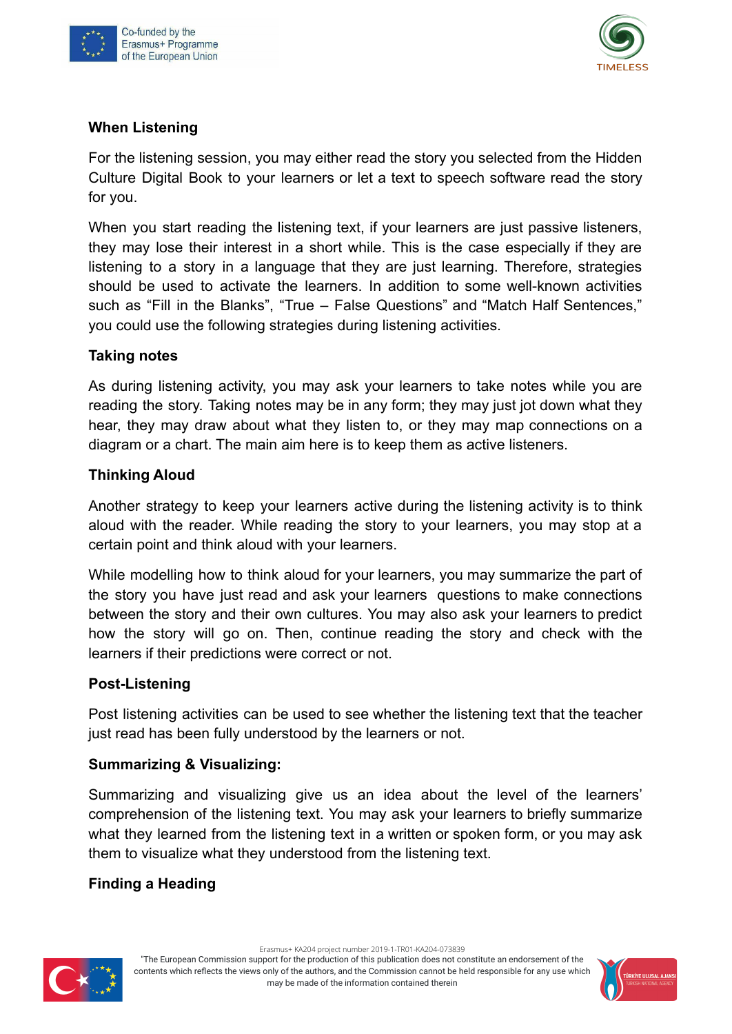



#### **When Listening**

For the listening session, you may either read the story you selected from the Hidden Culture Digital Book to your learners or let a text to speech software read the story for you.

When you start reading the listening text, if your learners are just passive listeners, they may lose their interest in a short while. This is the case especially if they are listening to a story in a language that they are just learning. Therefore, strategies should be used to activate the learners. In addition to some well-known activities such as "Fill in the Blanks", "True – False Questions" and "Match Half Sentences," you could use the following strategies during listening activities.

#### **Taking notes**

As during listening activity, you may ask your learners to take notes while you are reading the story. Taking notes may be in any form; they may just jot down what they hear, they may draw about what they listen to, or they may map connections on a diagram or a chart. The main aim here is to keep them as active listeners.

#### **Thinking Aloud**

Another strategy to keep your learners active during the listening activity is to think aloud with the reader. While reading the story to your learners, you may stop at a certain point and think aloud with your learners.

While modelling how to think aloud for your learners, you may summarize the part of the story you have just read and ask your learners questions to make connections between the story and their own cultures. You may also ask your learners to predict how the story will go on. Then, continue reading the story and check with the learners if their predictions were correct or not.

#### **Post-Listening**

Post listening activities can be used to see whether the listening text that the teacher just read has been fully understood by the learners or not.

#### **Summarizing & Visualizing:**

Summarizing and visualizing give us an idea about the level of the learners' comprehension of the listening text. You may ask your learners to briefly summarize what they learned from the listening text in a written or spoken form, or you may ask them to visualize what they understood from the listening text.

#### **Finding a Heading**

Erasmus+ KA204 project number 2019-1-TR01-KA204-073839



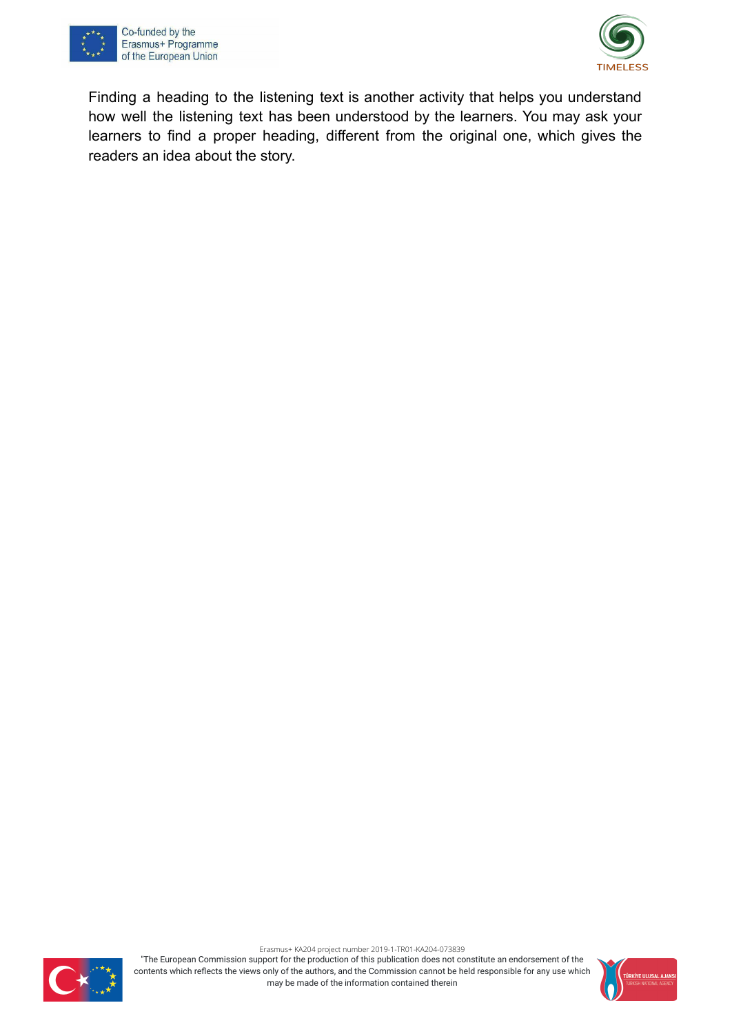



Finding a heading to the listening text is another activity that helps you understand how well the listening text has been understood by the learners. You may ask your learners to find a proper heading, different from the original one, which gives the readers an idea about the story.



Erasmus+ KA204 project number 2019-1-TR01-KA204-073839

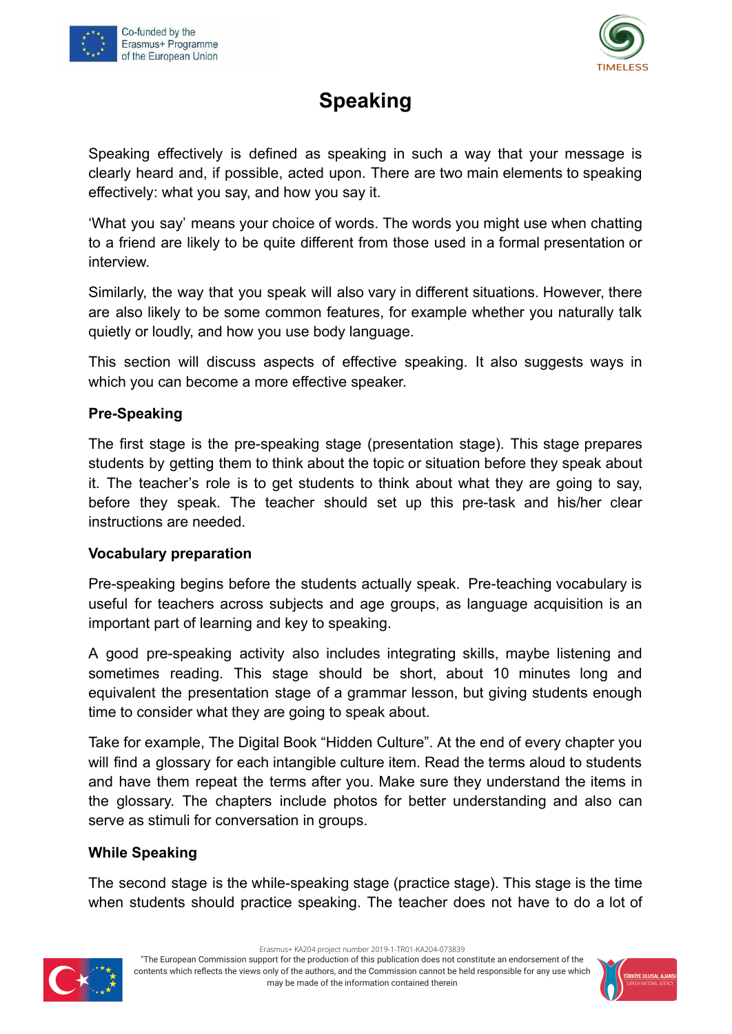



## **Speaking**

Speaking effectively is defined as speaking in such a way that your message is clearly heard and, if possible, acted upon. There are two main elements to speaking effectively: what you say, and how you say it.

'What you say' means your choice of words. The words you might use when chatting to a friend are likely to be quite different from those used in a formal presentation or interview.

Similarly, the way that you speak will also vary in different situations. However, there are also likely to be some common features, for example whether you naturally talk quietly or loudly, and how you use body language.

This section will discuss aspects of effective speaking. It also suggests ways in which you can become a more effective speaker.

#### **Pre-Speaking**

The first stage is the pre-speaking stage (presentation stage). This stage prepares students by getting them to think about the topic or situation before they speak about it. The teacher's role is to get students to think about what they are going to say, before they speak. The teacher should set up this pre-task and his/her clear instructions are needed.

#### **Vocabulary preparation**

Pre-speaking begins before the students actually speak. Pre-teaching vocabulary is useful for teachers across subjects and age groups, as language acquisition is an important part of learning and key to speaking.

A good pre-speaking activity also includes integrating skills, maybe listening and sometimes reading. This stage should be short, about 10 minutes long and equivalent the presentation stage of a grammar lesson, but giving students enough time to consider what they are going to speak about.

Take for example, The Digital Book "Hidden Culture". At the end of every chapter you will find a glossary for each intangible culture item. Read the terms aloud to students and have them repeat the terms after you. Make sure they understand the items in the glossary. The chapters include photos for better understanding and also can serve as stimuli for conversation in groups.

#### **While Speaking**

The second stage is the while-speaking stage (practice stage). This stage is the time when students should practice speaking. The teacher does not have to do a lot of



Erasmus+ KA204 project number 2019-1-TR01-KA204-073839

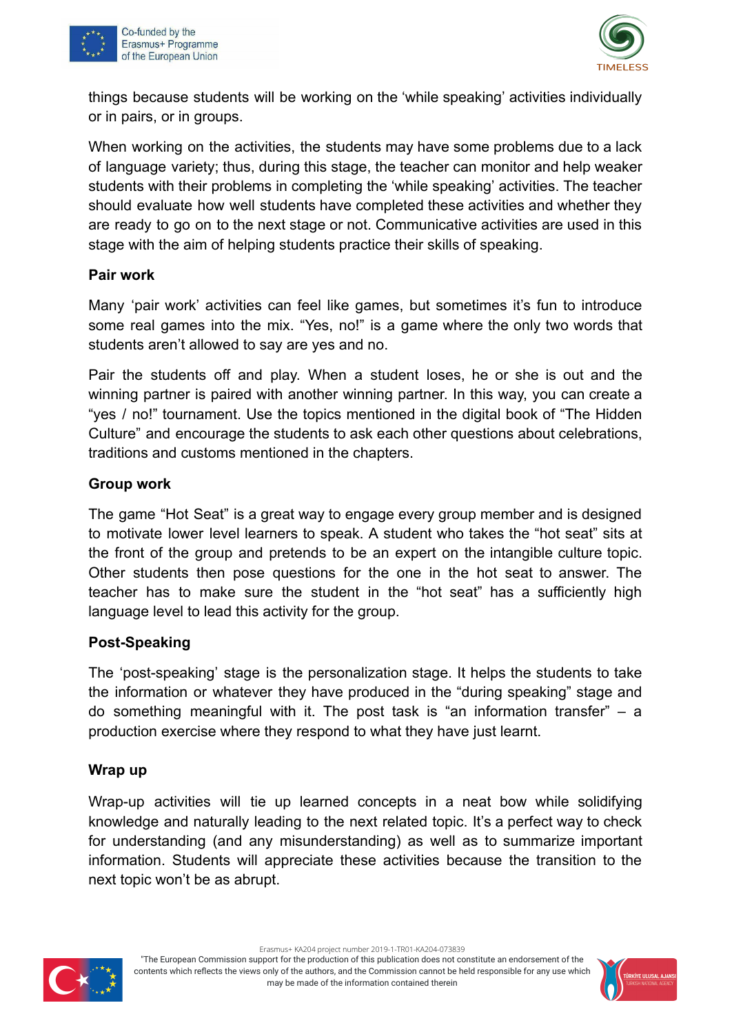



things because students will be working on the 'while speaking' activities individually or in pairs, or in groups.

When working on the activities, the students may have some problems due to a lack of language variety; thus, during this stage, the teacher can monitor and help weaker students with their problems in completing the 'while speaking' activities. The teacher should evaluate how well students have completed these activities and whether they are ready to go on to the next stage or not. Communicative activities are used in this stage with the aim of helping students practice their skills of speaking.

#### **Pair work**

Many 'pair work' activities can feel like games, but sometimes it's fun to introduce some real games into the mix. "Yes, no!" is a game where the only two words that students aren't allowed to say are yes and no.

Pair the students off and play. When a student loses, he or she is out and the winning partner is paired with another winning partner. In this way, you can create a "yes / no!" tournament. Use the topics mentioned in the digital book of "The Hidden Culture" and encourage the students to ask each other questions about celebrations, traditions and customs mentioned in the chapters.

#### **Group work**

The game "Hot Seat" is a great way to engage every group member and is designed to motivate lower level learners to speak. A student who takes the "hot seat" sits at the front of the group and pretends to be an expert on the intangible culture topic. Other students then pose questions for the one in the hot seat to answer. The teacher has to make sure the student in the "hot seat" has a sufficiently high language level to lead this activity for the group.

#### **Post-Speaking**

The 'post-speaking' stage is the personalization stage. It helps the students to take the information or whatever they have produced in the "during speaking" stage and do something meaningful with it. The post task is "an information transfer" – a production exercise where they respond to what they have just learnt.

#### **Wrap up**

Wrap-up activities will tie up learned concepts in a neat bow while solidifying knowledge and naturally leading to the next related topic. It's a perfect way to check for understanding (and any misunderstanding) as well as to summarize important information. Students will appreciate these activities because the transition to the next topic won't be as abrupt.



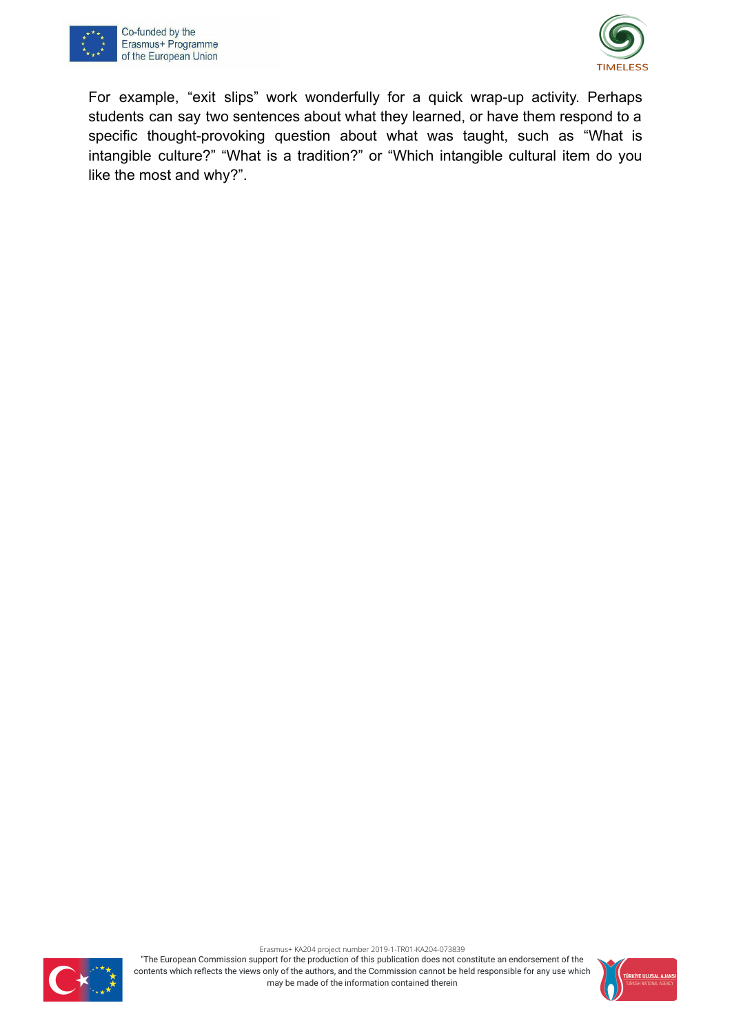



For example, "exit slips" work wonderfully for a quick wrap-up activity. Perhaps students can say two sentences about what they learned, or have them respond to a specific thought-provoking question about what was taught, such as "What is intangible culture?" "What is a tradition?" or "Which intangible cultural item do you like the most and why?".



Erasmus+ KA204 project number 2019-1-TR01-KA204-073839